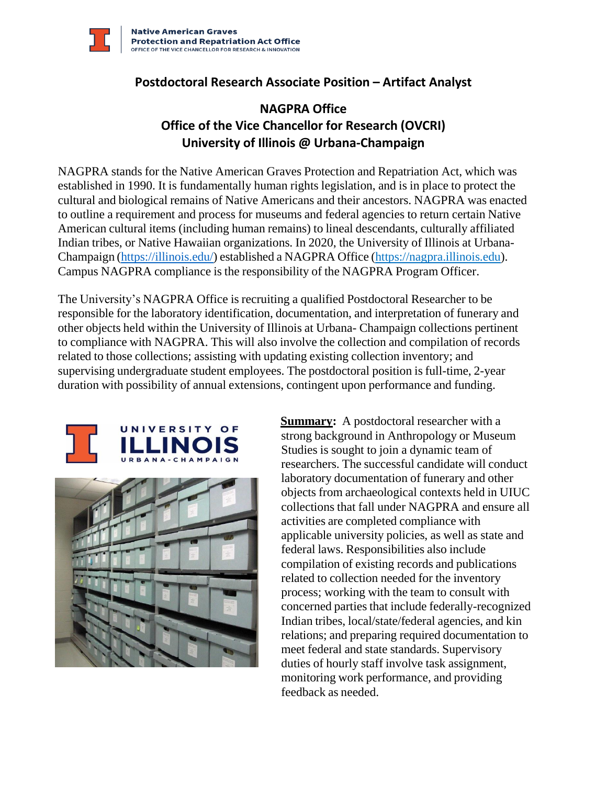

## **Postdoctoral Research Associate Position – Artifact Analyst**

## **NAGPRA Office Office of the Vice Chancellor for Research (OVCRI) University of Illinois @ Urbana-Champaign**

NAGPRA stands for the Native American Graves Protection and Repatriation Act, which was established in 1990. It is fundamentally human rights legislation, and is in place to protect the cultural and biological remains of Native Americans and their ancestors. NAGPRA was enacted to outline a requirement and process for museums and federal agencies to return certain Native American cultural items (including human remains) to lineal descendants, culturally affiliated Indian tribes, or Native Hawaiian organizations. In 2020, the University of Illinois at Urbana-Champaign [\(https://illinois.edu/\)](https://illinois.edu/) established a NAGPRA Office (https://nagpra.illinois.edu). Campus NAGPRA compliance is the responsibility of the NAGPRA Program Officer.

The University's NAGPRA Office is recruiting a qualified Postdoctoral Researcher to be responsible for the laboratory identification, documentation, and interpretation of funerary and other objects held within the University of Illinois at Urbana- Champaign collections pertinent to compliance with NAGPRA. This will also involve the collection and compilation of records related to those collections; assisting with updating existing collection inventory; and supervising undergraduate student employees. The postdoctoral position is full-time, 2-year duration with possibility of annual extensions, contingent upon performance and funding.





**Summary:** A postdoctoral researcher with a strong background in Anthropology or Museum Studies is sought to join a dynamic team of researchers. The successful candidate will conduct laboratory documentation of funerary and other objects from archaeological contexts held in UIUC collections that fall under NAGPRA and ensure all activities are completed compliance with applicable university policies, as well as state and federal laws. Responsibilities also include compilation of existing records and publications related to collection needed for the inventory process; working with the team to consult with concerned parties that include federally-recognized Indian tribes, local/state/federal agencies, and kin relations; and preparing required documentation to meet federal and state standards. Supervisory duties of hourly staff involve task assignment, monitoring work performance, and providing feedback as needed.